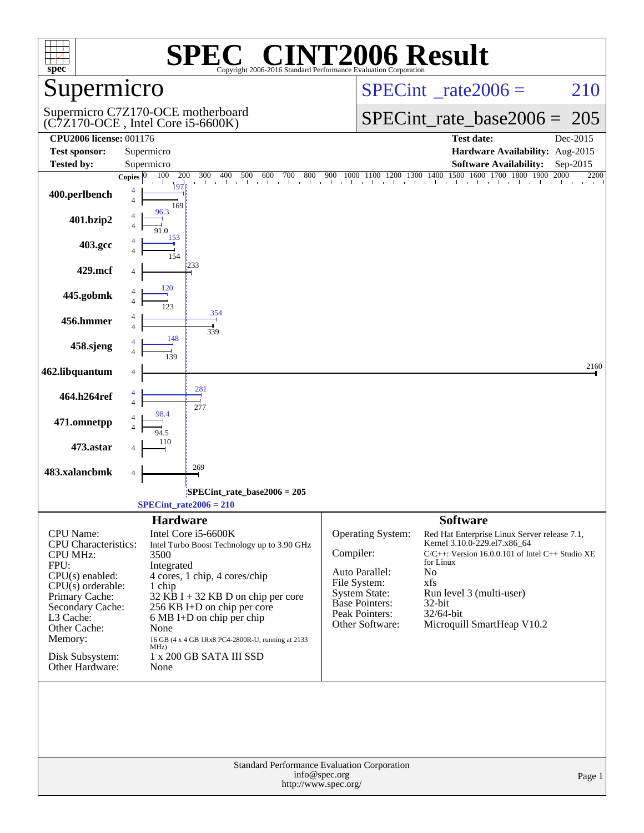| spec <sup>®</sup>                                                                                                   | Copyright 2006-2016 Standard Performance Evaluation Corporation                                                                                                   | C® CINT2006 Result                                                                                                                                                                                                 |  |  |  |
|---------------------------------------------------------------------------------------------------------------------|-------------------------------------------------------------------------------------------------------------------------------------------------------------------|--------------------------------------------------------------------------------------------------------------------------------------------------------------------------------------------------------------------|--|--|--|
| Supermicro                                                                                                          |                                                                                                                                                                   | $SPECint^{\circ}$ rate $2006 =$<br>210                                                                                                                                                                             |  |  |  |
|                                                                                                                     | Supermicro C7Z170-OCE motherboard<br>$(C7Z170$ -OCE, Intel Core i5-6600K)                                                                                         | $SPECint_rate\_base2006 =$<br>205                                                                                                                                                                                  |  |  |  |
| <b>CPU2006 license: 001176</b>                                                                                      |                                                                                                                                                                   | <b>Test date:</b><br>Dec-2015                                                                                                                                                                                      |  |  |  |
| <b>Test sponsor:</b>                                                                                                | Supermicro                                                                                                                                                        | Hardware Availability: Aug-2015                                                                                                                                                                                    |  |  |  |
| <b>Tested by:</b>                                                                                                   | Supermicro<br>100<br>200<br>300<br>400<br>500<br>800<br>Copies $ 0$<br>600<br>700                                                                                 | <b>Software Availability:</b><br>Sep-2015<br>$1100$ $1200$ $1300$ $1400$ $1500$<br><b>1900</b><br>1600 1700<br>2000<br>900<br>1800<br>2200<br>1000                                                                 |  |  |  |
| 400.perlbench                                                                                                       | 197<br>4<br>$\overline{4}$<br>169                                                                                                                                 |                                                                                                                                                                                                                    |  |  |  |
| 401.bzip2                                                                                                           | 96.3<br>4<br>$\Delta$<br>91.0                                                                                                                                     |                                                                                                                                                                                                                    |  |  |  |
| 403.gcc                                                                                                             | 153<br>154                                                                                                                                                        |                                                                                                                                                                                                                    |  |  |  |
| 429.mcf                                                                                                             | 1233<br>120                                                                                                                                                       |                                                                                                                                                                                                                    |  |  |  |
| 445.gobmk                                                                                                           |                                                                                                                                                                   |                                                                                                                                                                                                                    |  |  |  |
| 456.hmmer                                                                                                           | 354<br>4<br>$\overline{4}$<br>339                                                                                                                                 |                                                                                                                                                                                                                    |  |  |  |
| 458.sjeng                                                                                                           | 148                                                                                                                                                               |                                                                                                                                                                                                                    |  |  |  |
| 462.libquantum                                                                                                      | 4<br>281                                                                                                                                                          | 2160                                                                                                                                                                                                               |  |  |  |
| 464.h264ref                                                                                                         | $\overline{4}$<br>277<br>98.4                                                                                                                                     |                                                                                                                                                                                                                    |  |  |  |
| 471.omnetpp                                                                                                         |                                                                                                                                                                   |                                                                                                                                                                                                                    |  |  |  |
| 473.astar                                                                                                           |                                                                                                                                                                   |                                                                                                                                                                                                                    |  |  |  |
| 483.xalancbmk                                                                                                       | 269<br>4                                                                                                                                                          |                                                                                                                                                                                                                    |  |  |  |
|                                                                                                                     | SPECint_rate_base2006 = 205                                                                                                                                       |                                                                                                                                                                                                                    |  |  |  |
|                                                                                                                     | SPECint rate $2006 = 210$                                                                                                                                         |                                                                                                                                                                                                                    |  |  |  |
| <b>CPU</b> Name:<br>CPU Characteristics:<br><b>CPU MHz:</b>                                                         | <b>Hardware</b><br>Intel Core i5-6600K<br>Intel Turbo Boost Technology up to 3.90 GHz<br>3500                                                                     | <b>Software</b><br>Operating System:<br>Red Hat Enterprise Linux Server release 7.1,<br>Kernel 3.10.0-229.el7.x86 64<br>Compiler:<br>C/C++: Version 16.0.0.101 of Intel C++ Studio XE<br>for Linux                 |  |  |  |
| FPU:<br>$CPU(s)$ enabled:<br>$CPU(s)$ orderable:<br>Primary Cache:<br>Secondary Cache:<br>L3 Cache:<br>Other Cache: | Integrated<br>4 cores, 1 chip, 4 cores/chip<br>1 chip<br>$32$ KB I + 32 KB D on chip per core<br>256 KB I+D on chip per core<br>6 MB I+D on chip per chip<br>None | Auto Parallel:<br>No<br>File System:<br>xfs<br><b>System State:</b><br>Run level 3 (multi-user)<br><b>Base Pointers:</b><br>32-bit<br>Peak Pointers:<br>32/64-bit<br>Other Software:<br>Microquill SmartHeap V10.2 |  |  |  |
| Memory:<br>Disk Subsystem:<br>Other Hardware:                                                                       | 16 GB (4 x 4 GB 1Rx8 PC4-2800R-U, running at 2133<br>MHz)<br>1 x 200 GB SATA III SSD<br>None                                                                      |                                                                                                                                                                                                                    |  |  |  |
|                                                                                                                     |                                                                                                                                                                   |                                                                                                                                                                                                                    |  |  |  |
| <b>Standard Performance Evaluation Corporation</b><br>info@spec.org<br>Page 1<br>http://www.spec.org/               |                                                                                                                                                                   |                                                                                                                                                                                                                    |  |  |  |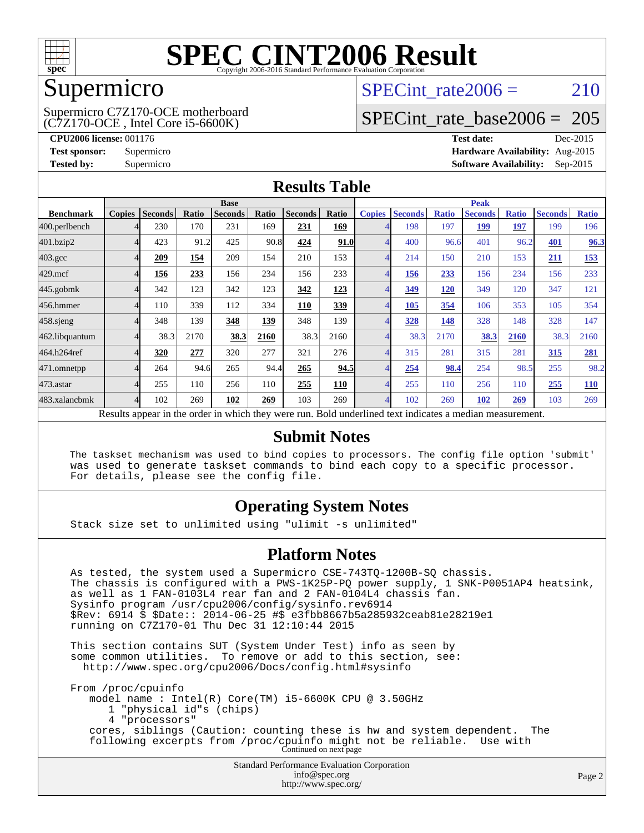

## Supermicro

(C7Z170-OCE , Intel Core i5-6600K) Supermicro C7Z170-OCE motherboard SPECint rate $2006 = 210$ 

# [SPECint\\_rate\\_base2006 =](http://www.spec.org/auto/cpu2006/Docs/result-fields.html#SPECintratebase2006) 205

**[CPU2006 license:](http://www.spec.org/auto/cpu2006/Docs/result-fields.html#CPU2006license)** 001176 **[Test date:](http://www.spec.org/auto/cpu2006/Docs/result-fields.html#Testdate)** Dec-2015 **[Test sponsor:](http://www.spec.org/auto/cpu2006/Docs/result-fields.html#Testsponsor)** Supermicro **[Hardware Availability:](http://www.spec.org/auto/cpu2006/Docs/result-fields.html#HardwareAvailability)** Aug-2015 **[Tested by:](http://www.spec.org/auto/cpu2006/Docs/result-fields.html#Testedby)** Supermicro **Supermicro [Software Availability:](http://www.spec.org/auto/cpu2006/Docs/result-fields.html#SoftwareAvailability)** Sep-2015

### **[Results Table](http://www.spec.org/auto/cpu2006/Docs/result-fields.html#ResultsTable)**

|                                                                                                          | <b>Base</b>   |                |       |                |       |                | <b>Peak</b> |               |                |              |                |              |                |              |
|----------------------------------------------------------------------------------------------------------|---------------|----------------|-------|----------------|-------|----------------|-------------|---------------|----------------|--------------|----------------|--------------|----------------|--------------|
| <b>Benchmark</b>                                                                                         | <b>Copies</b> | <b>Seconds</b> | Ratio | <b>Seconds</b> | Ratio | <b>Seconds</b> | Ratio       | <b>Copies</b> | <b>Seconds</b> | <b>Ratio</b> | <b>Seconds</b> | <b>Ratio</b> | <b>Seconds</b> | <b>Ratio</b> |
| 400.perlbench                                                                                            |               | 230            | 170   | 231            | 169   | 231            | 169         |               | 198            | 197          | 199            | 197          | 199            | 196          |
| 401.bzip2                                                                                                |               | 423            | 91.2  | 425            | 90.8  | 424            | 91.0        |               | 400            | 96.6         | 401            | 96.2         | <b>401</b>     | 96.3         |
| $403.\mathrm{gcc}$                                                                                       |               | 209            | 154   | 209            | 154   | 210            | 153         |               | 214            | 150          | 210            | 153          | <u>211</u>     | 153          |
| $429$ .mcf                                                                                               |               | 156            | 233   | 156            | 234   | 156            | 233         |               | 156            | 233          | 156            | 234          | 156            | 233          |
| $445$ .gobmk                                                                                             |               | 342            | 123   | 342            | 123   | 342            | 123         |               | 349            | 120          | 349            | 120          | 347            | 121          |
| 456.hmmer                                                                                                |               | 110            | 339   | 112            | 334   | 110            | 339         |               | 105            | 354          | 106            | 353          | 105            | 354          |
| $458$ .sjeng                                                                                             |               | 348            | 139   | 348            | 139   | 348            | 139         |               | 328            | 148          | 328            | 148          | 328            | 147          |
| 462.libquantum                                                                                           |               | 38.3           | 2170  | 38.3           | 2160  | 38.3           | 2160        |               | 38.3           | 2170         | 38.3           | 2160         | 38.3           | 2160         |
| 464.h264ref                                                                                              |               | 320            | 277   | 320            | 277   | 321            | 276         |               | 315            | 281          | 315            | 281          | 315            | 281          |
| 471.omnetpp                                                                                              |               | 264            | 94.6  | 265            | 94.4  | 265            | 94.5        |               | 254            | 98.4         | 254            | 98.5         | 255            | 98.2         |
| 473.astar                                                                                                |               | 255            | 110   | 256            | 110   | 255            | 110         |               | 255            | 110          | 256            | 110          | 255            | <b>110</b>   |
| 483.xalancbmk                                                                                            |               | 102            | 269   | 102            | 269   | 103            | 269         | 4             | 102            | 269          | 102            | 269          | 103            | 269          |
| Results appear in the order in which they were run. Bold underlined text indicates a median measurement. |               |                |       |                |       |                |             |               |                |              |                |              |                |              |

#### **[Submit Notes](http://www.spec.org/auto/cpu2006/Docs/result-fields.html#SubmitNotes)**

 The taskset mechanism was used to bind copies to processors. The config file option 'submit' was used to generate taskset commands to bind each copy to a specific processor. For details, please see the config file.

### **[Operating System Notes](http://www.spec.org/auto/cpu2006/Docs/result-fields.html#OperatingSystemNotes)**

Stack size set to unlimited using "ulimit -s unlimited"

#### **[Platform Notes](http://www.spec.org/auto/cpu2006/Docs/result-fields.html#PlatformNotes)**

 As tested, the system used a Supermicro CSE-743TQ-1200B-SQ chassis. The chassis is configured with a PWS-1K25P-PQ power supply, 1 SNK-P0051AP4 heatsink, as well as 1 FAN-0103L4 rear fan and 2 FAN-0104L4 chassis fan. Sysinfo program /usr/cpu2006/config/sysinfo.rev6914 \$Rev: 6914 \$ \$Date:: 2014-06-25 #\$ e3fbb8667b5a285932ceab81e28219e1 running on C7Z170-01 Thu Dec 31 12:10:44 2015

 This section contains SUT (System Under Test) info as seen by some common utilities. To remove or add to this section, see: <http://www.spec.org/cpu2006/Docs/config.html#sysinfo>

 From /proc/cpuinfo model name : Intel(R) Core(TM) i5-6600K CPU @ 3.50GHz 1 "physical id"s (chips) 4 "processors" cores, siblings (Caution: counting these is hw and system dependent. The following excerpts from /proc/cpuinfo might not be reliable. Use with Continued on next page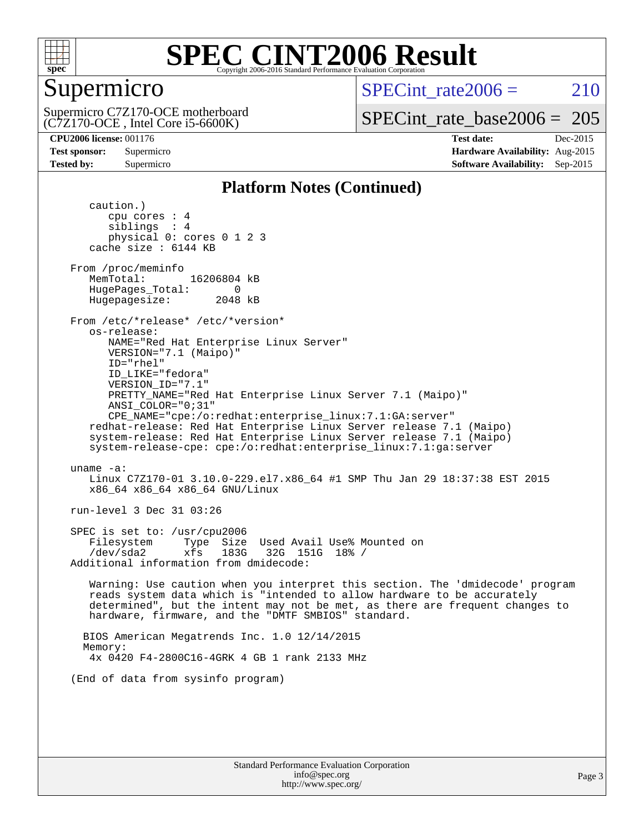

# Supermicro

Supermicro C7Z170-OCE motherboard

SPECint rate $2006 = 210$ 

[SPECint\\_rate\\_base2006 =](http://www.spec.org/auto/cpu2006/Docs/result-fields.html#SPECintratebase2006) 205

(C7Z170-OCE , Intel Core i5-6600K)

**[CPU2006 license:](http://www.spec.org/auto/cpu2006/Docs/result-fields.html#CPU2006license)** 001176 **[Test date:](http://www.spec.org/auto/cpu2006/Docs/result-fields.html#Testdate)** Dec-2015 **[Test sponsor:](http://www.spec.org/auto/cpu2006/Docs/result-fields.html#Testsponsor)** Supermicro **[Hardware Availability:](http://www.spec.org/auto/cpu2006/Docs/result-fields.html#HardwareAvailability)** Aug-2015 **[Tested by:](http://www.spec.org/auto/cpu2006/Docs/result-fields.html#Testedby)** Supermicro **Supermicro [Software Availability:](http://www.spec.org/auto/cpu2006/Docs/result-fields.html#SoftwareAvailability)** Sep-2015

### **[Platform Notes \(Continued\)](http://www.spec.org/auto/cpu2006/Docs/result-fields.html#PlatformNotes)**

 caution.) cpu cores : 4 siblings : 4 physical 0: cores 0 1 2 3 cache size : 6144 KB From /proc/meminfo MemTotal: 16206804 kB HugePages\_Total: 0<br>Hugepagesize: 2048 kB Hugepagesize: From /etc/\*release\* /etc/\*version\* os-release: NAME="Red Hat Enterprise Linux Server" VERSION="7.1 (Maipo)" ID="rhel" ID\_LIKE="fedora" VERSION\_ID="7.1" PRETTY\_NAME="Red Hat Enterprise Linux Server 7.1 (Maipo)" ANSI\_COLOR="0;31" CPE\_NAME="cpe:/o:redhat:enterprise\_linux:7.1:GA:server" redhat-release: Red Hat Enterprise Linux Server release 7.1 (Maipo) system-release: Red Hat Enterprise Linux Server release 7.1 (Maipo) system-release-cpe: cpe:/o:redhat:enterprise\_linux:7.1:ga:server uname -a: Linux C7Z170-01 3.10.0-229.el7.x86\_64 #1 SMP Thu Jan 29 18:37:38 EST 2015 x86\_64 x86\_64 x86\_64 GNU/Linux run-level 3 Dec 31 03:26 SPEC is set to: /usr/cpu2006 Filesystem Type Size Used Avail Use% Mounted on /dev/sda2 xfs 183G 32G 151G 18% / Additional information from dmidecode: Warning: Use caution when you interpret this section. The 'dmidecode' program reads system data which is "intended to allow hardware to be accurately determined", but the intent may not be met, as there are frequent changes to hardware, firmware, and the "DMTF SMBIOS" standard. BIOS American Megatrends Inc. 1.0 12/14/2015 Memory: 4x 0420 F4-2800C16-4GRK 4 GB 1 rank 2133 MHz (End of data from sysinfo program)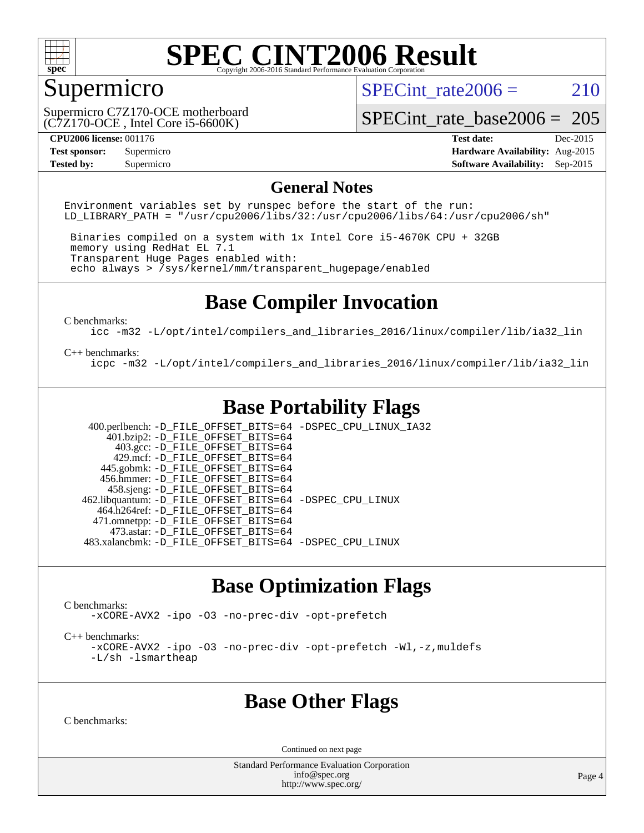

# Supermicro

SPECint rate $2006 = 210$ 

(C7Z170-OCE , Intel Core i5-6600K) Supermicro C7Z170-OCE motherboard

[SPECint\\_rate\\_base2006 =](http://www.spec.org/auto/cpu2006/Docs/result-fields.html#SPECintratebase2006) 205

**[CPU2006 license:](http://www.spec.org/auto/cpu2006/Docs/result-fields.html#CPU2006license)** 001176 **[Test date:](http://www.spec.org/auto/cpu2006/Docs/result-fields.html#Testdate)** Dec-2015 **[Test sponsor:](http://www.spec.org/auto/cpu2006/Docs/result-fields.html#Testsponsor)** Supermicro **[Hardware Availability:](http://www.spec.org/auto/cpu2006/Docs/result-fields.html#HardwareAvailability)** Aug-2015 **[Tested by:](http://www.spec.org/auto/cpu2006/Docs/result-fields.html#Testedby)** Supermicro **Supermicro [Software Availability:](http://www.spec.org/auto/cpu2006/Docs/result-fields.html#SoftwareAvailability)** Sep-2015

#### **[General Notes](http://www.spec.org/auto/cpu2006/Docs/result-fields.html#GeneralNotes)**

Environment variables set by runspec before the start of the run: LD LIBRARY PATH = "/usr/cpu2006/libs/32:/usr/cpu2006/libs/64:/usr/cpu2006/sh"

 Binaries compiled on a system with 1x Intel Core i5-4670K CPU + 32GB memory using RedHat EL 7.1 Transparent Huge Pages enabled with: echo always > /sys/kernel/mm/transparent\_hugepage/enabled

## **[Base Compiler Invocation](http://www.spec.org/auto/cpu2006/Docs/result-fields.html#BaseCompilerInvocation)**

[C benchmarks](http://www.spec.org/auto/cpu2006/Docs/result-fields.html#Cbenchmarks):

[icc -m32 -L/opt/intel/compilers\\_and\\_libraries\\_2016/linux/compiler/lib/ia32\\_lin](http://www.spec.org/cpu2006/results/res2016q1/cpu2006-20160106-38551.flags.html#user_CCbase_intel_icc_e10256ba5924b668798078a321b0cb3f)

#### [C++ benchmarks:](http://www.spec.org/auto/cpu2006/Docs/result-fields.html#CXXbenchmarks)

[icpc -m32 -L/opt/intel/compilers\\_and\\_libraries\\_2016/linux/compiler/lib/ia32\\_lin](http://www.spec.org/cpu2006/results/res2016q1/cpu2006-20160106-38551.flags.html#user_CXXbase_intel_icpc_b4f50a394bdb4597aa5879c16bc3f5c5)

# **[Base Portability Flags](http://www.spec.org/auto/cpu2006/Docs/result-fields.html#BasePortabilityFlags)**

 400.perlbench: [-D\\_FILE\\_OFFSET\\_BITS=64](http://www.spec.org/cpu2006/results/res2016q1/cpu2006-20160106-38551.flags.html#user_basePORTABILITY400_perlbench_file_offset_bits_64_438cf9856305ebd76870a2c6dc2689ab) [-DSPEC\\_CPU\\_LINUX\\_IA32](http://www.spec.org/cpu2006/results/res2016q1/cpu2006-20160106-38551.flags.html#b400.perlbench_baseCPORTABILITY_DSPEC_CPU_LINUX_IA32)  $401.bzip2: -D$ FILE\_OFFSET\_BITS=64 403.gcc: [-D\\_FILE\\_OFFSET\\_BITS=64](http://www.spec.org/cpu2006/results/res2016q1/cpu2006-20160106-38551.flags.html#user_basePORTABILITY403_gcc_file_offset_bits_64_438cf9856305ebd76870a2c6dc2689ab) 429.mcf: [-D\\_FILE\\_OFFSET\\_BITS=64](http://www.spec.org/cpu2006/results/res2016q1/cpu2006-20160106-38551.flags.html#user_basePORTABILITY429_mcf_file_offset_bits_64_438cf9856305ebd76870a2c6dc2689ab) 445.gobmk: [-D\\_FILE\\_OFFSET\\_BITS=64](http://www.spec.org/cpu2006/results/res2016q1/cpu2006-20160106-38551.flags.html#user_basePORTABILITY445_gobmk_file_offset_bits_64_438cf9856305ebd76870a2c6dc2689ab) 456.hmmer: [-D\\_FILE\\_OFFSET\\_BITS=64](http://www.spec.org/cpu2006/results/res2016q1/cpu2006-20160106-38551.flags.html#user_basePORTABILITY456_hmmer_file_offset_bits_64_438cf9856305ebd76870a2c6dc2689ab) 458.sjeng: [-D\\_FILE\\_OFFSET\\_BITS=64](http://www.spec.org/cpu2006/results/res2016q1/cpu2006-20160106-38551.flags.html#user_basePORTABILITY458_sjeng_file_offset_bits_64_438cf9856305ebd76870a2c6dc2689ab) 462.libquantum: [-D\\_FILE\\_OFFSET\\_BITS=64](http://www.spec.org/cpu2006/results/res2016q1/cpu2006-20160106-38551.flags.html#user_basePORTABILITY462_libquantum_file_offset_bits_64_438cf9856305ebd76870a2c6dc2689ab) [-DSPEC\\_CPU\\_LINUX](http://www.spec.org/cpu2006/results/res2016q1/cpu2006-20160106-38551.flags.html#b462.libquantum_baseCPORTABILITY_DSPEC_CPU_LINUX) 464.h264ref: [-D\\_FILE\\_OFFSET\\_BITS=64](http://www.spec.org/cpu2006/results/res2016q1/cpu2006-20160106-38551.flags.html#user_basePORTABILITY464_h264ref_file_offset_bits_64_438cf9856305ebd76870a2c6dc2689ab) 471.omnetpp: [-D\\_FILE\\_OFFSET\\_BITS=64](http://www.spec.org/cpu2006/results/res2016q1/cpu2006-20160106-38551.flags.html#user_basePORTABILITY471_omnetpp_file_offset_bits_64_438cf9856305ebd76870a2c6dc2689ab) 473.astar: [-D\\_FILE\\_OFFSET\\_BITS=64](http://www.spec.org/cpu2006/results/res2016q1/cpu2006-20160106-38551.flags.html#user_basePORTABILITY473_astar_file_offset_bits_64_438cf9856305ebd76870a2c6dc2689ab) 483.xalancbmk: [-D\\_FILE\\_OFFSET\\_BITS=64](http://www.spec.org/cpu2006/results/res2016q1/cpu2006-20160106-38551.flags.html#user_basePORTABILITY483_xalancbmk_file_offset_bits_64_438cf9856305ebd76870a2c6dc2689ab) [-DSPEC\\_CPU\\_LINUX](http://www.spec.org/cpu2006/results/res2016q1/cpu2006-20160106-38551.flags.html#b483.xalancbmk_baseCXXPORTABILITY_DSPEC_CPU_LINUX)

### **[Base Optimization Flags](http://www.spec.org/auto/cpu2006/Docs/result-fields.html#BaseOptimizationFlags)**

[C benchmarks](http://www.spec.org/auto/cpu2006/Docs/result-fields.html#Cbenchmarks):

[-xCORE-AVX2](http://www.spec.org/cpu2006/results/res2016q1/cpu2006-20160106-38551.flags.html#user_CCbase_f-xAVX2_5f5fc0cbe2c9f62c816d3e45806c70d7) [-ipo](http://www.spec.org/cpu2006/results/res2016q1/cpu2006-20160106-38551.flags.html#user_CCbase_f-ipo) [-O3](http://www.spec.org/cpu2006/results/res2016q1/cpu2006-20160106-38551.flags.html#user_CCbase_f-O3) [-no-prec-div](http://www.spec.org/cpu2006/results/res2016q1/cpu2006-20160106-38551.flags.html#user_CCbase_f-no-prec-div) [-opt-prefetch](http://www.spec.org/cpu2006/results/res2016q1/cpu2006-20160106-38551.flags.html#user_CCbase_f-opt-prefetch)

[C++ benchmarks:](http://www.spec.org/auto/cpu2006/Docs/result-fields.html#CXXbenchmarks)

[-xCORE-AVX2](http://www.spec.org/cpu2006/results/res2016q1/cpu2006-20160106-38551.flags.html#user_CXXbase_f-xAVX2_5f5fc0cbe2c9f62c816d3e45806c70d7) [-ipo](http://www.spec.org/cpu2006/results/res2016q1/cpu2006-20160106-38551.flags.html#user_CXXbase_f-ipo) [-O3](http://www.spec.org/cpu2006/results/res2016q1/cpu2006-20160106-38551.flags.html#user_CXXbase_f-O3) [-no-prec-div](http://www.spec.org/cpu2006/results/res2016q1/cpu2006-20160106-38551.flags.html#user_CXXbase_f-no-prec-div) [-opt-prefetch](http://www.spec.org/cpu2006/results/res2016q1/cpu2006-20160106-38551.flags.html#user_CXXbase_f-opt-prefetch) [-Wl,-z,muldefs](http://www.spec.org/cpu2006/results/res2016q1/cpu2006-20160106-38551.flags.html#user_CXXbase_link_force_multiple1_74079c344b956b9658436fd1b6dd3a8a) [-L/sh -lsmartheap](http://www.spec.org/cpu2006/results/res2016q1/cpu2006-20160106-38551.flags.html#user_CXXbase_SmartHeap_32f6c82aa1ed9c52345d30cf6e4a0499)

### **[Base Other Flags](http://www.spec.org/auto/cpu2006/Docs/result-fields.html#BaseOtherFlags)**

[C benchmarks](http://www.spec.org/auto/cpu2006/Docs/result-fields.html#Cbenchmarks):

Continued on next page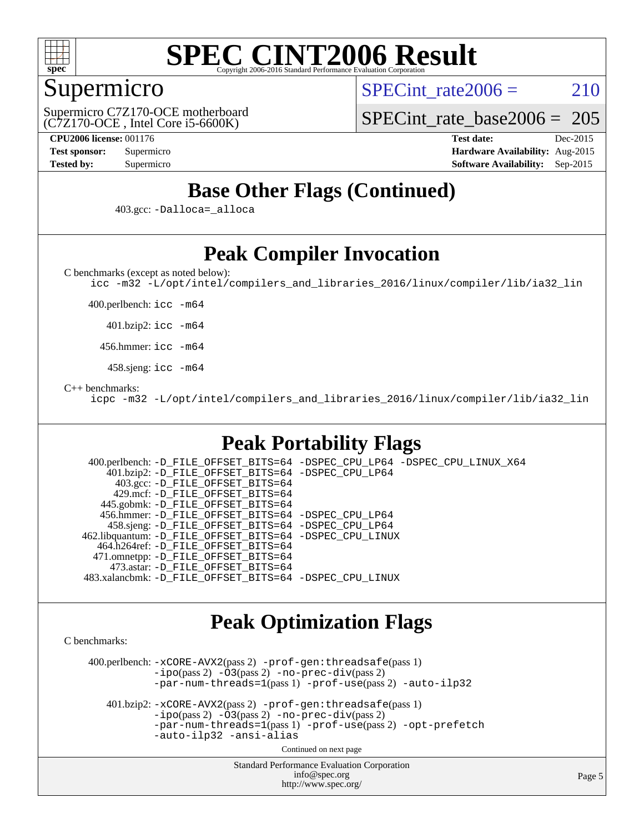

# Supermicro

SPECint rate $2006 = 210$ 

(C7Z170-OCE , Intel Core i5-6600K) Supermicro C7Z170-OCE motherboard [SPECint\\_rate\\_base2006 =](http://www.spec.org/auto/cpu2006/Docs/result-fields.html#SPECintratebase2006) 205

**[CPU2006 license:](http://www.spec.org/auto/cpu2006/Docs/result-fields.html#CPU2006license)** 001176 **[Test date:](http://www.spec.org/auto/cpu2006/Docs/result-fields.html#Testdate)** Dec-2015 **[Test sponsor:](http://www.spec.org/auto/cpu2006/Docs/result-fields.html#Testsponsor)** Supermicro **[Hardware Availability:](http://www.spec.org/auto/cpu2006/Docs/result-fields.html#HardwareAvailability)** Aug-2015 **[Tested by:](http://www.spec.org/auto/cpu2006/Docs/result-fields.html#Testedby)** Supermicro **[Software Availability:](http://www.spec.org/auto/cpu2006/Docs/result-fields.html#SoftwareAvailability)** Sep-2015

# **[Base Other Flags \(Continued\)](http://www.spec.org/auto/cpu2006/Docs/result-fields.html#BaseOtherFlags)**

403.gcc: [-Dalloca=\\_alloca](http://www.spec.org/cpu2006/results/res2016q1/cpu2006-20160106-38551.flags.html#b403.gcc_baseEXTRA_CFLAGS_Dalloca_be3056838c12de2578596ca5467af7f3)

# **[Peak Compiler Invocation](http://www.spec.org/auto/cpu2006/Docs/result-fields.html#PeakCompilerInvocation)**

[C benchmarks \(except as noted below\)](http://www.spec.org/auto/cpu2006/Docs/result-fields.html#Cbenchmarksexceptasnotedbelow):

[icc -m32 -L/opt/intel/compilers\\_and\\_libraries\\_2016/linux/compiler/lib/ia32\\_lin](http://www.spec.org/cpu2006/results/res2016q1/cpu2006-20160106-38551.flags.html#user_CCpeak_intel_icc_e10256ba5924b668798078a321b0cb3f)

400.perlbench: [icc -m64](http://www.spec.org/cpu2006/results/res2016q1/cpu2006-20160106-38551.flags.html#user_peakCCLD400_perlbench_intel_icc_64bit_bda6cc9af1fdbb0edc3795bac97ada53)

401.bzip2: [icc -m64](http://www.spec.org/cpu2006/results/res2016q1/cpu2006-20160106-38551.flags.html#user_peakCCLD401_bzip2_intel_icc_64bit_bda6cc9af1fdbb0edc3795bac97ada53)

456.hmmer: [icc -m64](http://www.spec.org/cpu2006/results/res2016q1/cpu2006-20160106-38551.flags.html#user_peakCCLD456_hmmer_intel_icc_64bit_bda6cc9af1fdbb0edc3795bac97ada53)

458.sjeng: [icc -m64](http://www.spec.org/cpu2006/results/res2016q1/cpu2006-20160106-38551.flags.html#user_peakCCLD458_sjeng_intel_icc_64bit_bda6cc9af1fdbb0edc3795bac97ada53)

#### [C++ benchmarks:](http://www.spec.org/auto/cpu2006/Docs/result-fields.html#CXXbenchmarks)

[icpc -m32 -L/opt/intel/compilers\\_and\\_libraries\\_2016/linux/compiler/lib/ia32\\_lin](http://www.spec.org/cpu2006/results/res2016q1/cpu2006-20160106-38551.flags.html#user_CXXpeak_intel_icpc_b4f50a394bdb4597aa5879c16bc3f5c5)

# **[Peak Portability Flags](http://www.spec.org/auto/cpu2006/Docs/result-fields.html#PeakPortabilityFlags)**

 400.perlbench: [-D\\_FILE\\_OFFSET\\_BITS=64](http://www.spec.org/cpu2006/results/res2016q1/cpu2006-20160106-38551.flags.html#user_peakPORTABILITY400_perlbench_file_offset_bits_64_438cf9856305ebd76870a2c6dc2689ab) [-DSPEC\\_CPU\\_LP64](http://www.spec.org/cpu2006/results/res2016q1/cpu2006-20160106-38551.flags.html#b400.perlbench_peakCPORTABILITY_DSPEC_CPU_LP64) [-DSPEC\\_CPU\\_LINUX\\_X64](http://www.spec.org/cpu2006/results/res2016q1/cpu2006-20160106-38551.flags.html#b400.perlbench_peakCPORTABILITY_DSPEC_CPU_LINUX_X64) 401.bzip2: [-D\\_FILE\\_OFFSET\\_BITS=64](http://www.spec.org/cpu2006/results/res2016q1/cpu2006-20160106-38551.flags.html#user_peakPORTABILITY401_bzip2_file_offset_bits_64_438cf9856305ebd76870a2c6dc2689ab) [-DSPEC\\_CPU\\_LP64](http://www.spec.org/cpu2006/results/res2016q1/cpu2006-20160106-38551.flags.html#suite_peakCPORTABILITY401_bzip2_DSPEC_CPU_LP64) 403.gcc: [-D\\_FILE\\_OFFSET\\_BITS=64](http://www.spec.org/cpu2006/results/res2016q1/cpu2006-20160106-38551.flags.html#user_peakPORTABILITY403_gcc_file_offset_bits_64_438cf9856305ebd76870a2c6dc2689ab) 429.mcf: [-D\\_FILE\\_OFFSET\\_BITS=64](http://www.spec.org/cpu2006/results/res2016q1/cpu2006-20160106-38551.flags.html#user_peakPORTABILITY429_mcf_file_offset_bits_64_438cf9856305ebd76870a2c6dc2689ab) 445.gobmk: [-D\\_FILE\\_OFFSET\\_BITS=64](http://www.spec.org/cpu2006/results/res2016q1/cpu2006-20160106-38551.flags.html#user_peakPORTABILITY445_gobmk_file_offset_bits_64_438cf9856305ebd76870a2c6dc2689ab) 456.hmmer: [-D\\_FILE\\_OFFSET\\_BITS=64](http://www.spec.org/cpu2006/results/res2016q1/cpu2006-20160106-38551.flags.html#user_peakPORTABILITY456_hmmer_file_offset_bits_64_438cf9856305ebd76870a2c6dc2689ab) [-DSPEC\\_CPU\\_LP64](http://www.spec.org/cpu2006/results/res2016q1/cpu2006-20160106-38551.flags.html#suite_peakCPORTABILITY456_hmmer_DSPEC_CPU_LP64) 458.sjeng: [-D\\_FILE\\_OFFSET\\_BITS=64](http://www.spec.org/cpu2006/results/res2016q1/cpu2006-20160106-38551.flags.html#user_peakPORTABILITY458_sjeng_file_offset_bits_64_438cf9856305ebd76870a2c6dc2689ab) [-DSPEC\\_CPU\\_LP64](http://www.spec.org/cpu2006/results/res2016q1/cpu2006-20160106-38551.flags.html#suite_peakCPORTABILITY458_sjeng_DSPEC_CPU_LP64) 462.libquantum: [-D\\_FILE\\_OFFSET\\_BITS=64](http://www.spec.org/cpu2006/results/res2016q1/cpu2006-20160106-38551.flags.html#user_peakPORTABILITY462_libquantum_file_offset_bits_64_438cf9856305ebd76870a2c6dc2689ab) [-DSPEC\\_CPU\\_LINUX](http://www.spec.org/cpu2006/results/res2016q1/cpu2006-20160106-38551.flags.html#b462.libquantum_peakCPORTABILITY_DSPEC_CPU_LINUX) 464.h264ref: [-D\\_FILE\\_OFFSET\\_BITS=64](http://www.spec.org/cpu2006/results/res2016q1/cpu2006-20160106-38551.flags.html#user_peakPORTABILITY464_h264ref_file_offset_bits_64_438cf9856305ebd76870a2c6dc2689ab) 471.omnetpp: [-D\\_FILE\\_OFFSET\\_BITS=64](http://www.spec.org/cpu2006/results/res2016q1/cpu2006-20160106-38551.flags.html#user_peakPORTABILITY471_omnetpp_file_offset_bits_64_438cf9856305ebd76870a2c6dc2689ab) 473.astar: [-D\\_FILE\\_OFFSET\\_BITS=64](http://www.spec.org/cpu2006/results/res2016q1/cpu2006-20160106-38551.flags.html#user_peakPORTABILITY473_astar_file_offset_bits_64_438cf9856305ebd76870a2c6dc2689ab) 483.xalancbmk: [-D\\_FILE\\_OFFSET\\_BITS=64](http://www.spec.org/cpu2006/results/res2016q1/cpu2006-20160106-38551.flags.html#user_peakPORTABILITY483_xalancbmk_file_offset_bits_64_438cf9856305ebd76870a2c6dc2689ab) [-DSPEC\\_CPU\\_LINUX](http://www.spec.org/cpu2006/results/res2016q1/cpu2006-20160106-38551.flags.html#b483.xalancbmk_peakCXXPORTABILITY_DSPEC_CPU_LINUX)

### **[Peak Optimization Flags](http://www.spec.org/auto/cpu2006/Docs/result-fields.html#PeakOptimizationFlags)**

[C benchmarks](http://www.spec.org/auto/cpu2006/Docs/result-fields.html#Cbenchmarks):

 400.perlbench: [-xCORE-AVX2](http://www.spec.org/cpu2006/results/res2016q1/cpu2006-20160106-38551.flags.html#user_peakPASS2_CFLAGSPASS2_LDCFLAGS400_perlbench_f-xAVX2_5f5fc0cbe2c9f62c816d3e45806c70d7)(pass 2) [-prof-gen:threadsafe](http://www.spec.org/cpu2006/results/res2016q1/cpu2006-20160106-38551.flags.html#user_peakPASS1_CFLAGSPASS1_LDCFLAGS400_perlbench_prof_gen_21a26eb79f378b550acd7bec9fe4467a)(pass 1)  $-i\text{po}(pass 2) -\tilde{O}3(pass 2)$  [-no-prec-div](http://www.spec.org/cpu2006/results/res2016q1/cpu2006-20160106-38551.flags.html#user_peakPASS2_CFLAGSPASS2_LDCFLAGS400_perlbench_f-no-prec-div)(pass 2) [-par-num-threads=1](http://www.spec.org/cpu2006/results/res2016q1/cpu2006-20160106-38551.flags.html#user_peakPASS1_CFLAGSPASS1_LDCFLAGS400_perlbench_par_num_threads_786a6ff141b4e9e90432e998842df6c2)(pass 1) [-prof-use](http://www.spec.org/cpu2006/results/res2016q1/cpu2006-20160106-38551.flags.html#user_peakPASS2_CFLAGSPASS2_LDCFLAGS400_perlbench_prof_use_bccf7792157ff70d64e32fe3e1250b55)(pass 2) [-auto-ilp32](http://www.spec.org/cpu2006/results/res2016q1/cpu2006-20160106-38551.flags.html#user_peakCOPTIMIZE400_perlbench_f-auto-ilp32)

 401.bzip2: [-xCORE-AVX2](http://www.spec.org/cpu2006/results/res2016q1/cpu2006-20160106-38551.flags.html#user_peakPASS2_CFLAGSPASS2_LDCFLAGS401_bzip2_f-xAVX2_5f5fc0cbe2c9f62c816d3e45806c70d7)(pass 2) [-prof-gen:threadsafe](http://www.spec.org/cpu2006/results/res2016q1/cpu2006-20160106-38551.flags.html#user_peakPASS1_CFLAGSPASS1_LDCFLAGS401_bzip2_prof_gen_21a26eb79f378b550acd7bec9fe4467a)(pass 1)  $-i\text{po}(pass 2) -\overline{O}3(pass 2)$  [-no-prec-div](http://www.spec.org/cpu2006/results/res2016q1/cpu2006-20160106-38551.flags.html#user_peakPASS2_CFLAGSPASS2_LDCFLAGS401_bzip2_f-no-prec-div)(pass 2) [-par-num-threads=1](http://www.spec.org/cpu2006/results/res2016q1/cpu2006-20160106-38551.flags.html#user_peakPASS1_CFLAGSPASS1_LDCFLAGS401_bzip2_par_num_threads_786a6ff141b4e9e90432e998842df6c2)(pass 1) [-prof-use](http://www.spec.org/cpu2006/results/res2016q1/cpu2006-20160106-38551.flags.html#user_peakPASS2_CFLAGSPASS2_LDCFLAGS401_bzip2_prof_use_bccf7792157ff70d64e32fe3e1250b55)(pass 2) [-opt-prefetch](http://www.spec.org/cpu2006/results/res2016q1/cpu2006-20160106-38551.flags.html#user_peakCOPTIMIZE401_bzip2_f-opt-prefetch) [-auto-ilp32](http://www.spec.org/cpu2006/results/res2016q1/cpu2006-20160106-38551.flags.html#user_peakCOPTIMIZE401_bzip2_f-auto-ilp32) [-ansi-alias](http://www.spec.org/cpu2006/results/res2016q1/cpu2006-20160106-38551.flags.html#user_peakCOPTIMIZE401_bzip2_f-ansi-alias)

Continued on next page

Standard Performance Evaluation Corporation [info@spec.org](mailto:info@spec.org) <http://www.spec.org/>

Page 5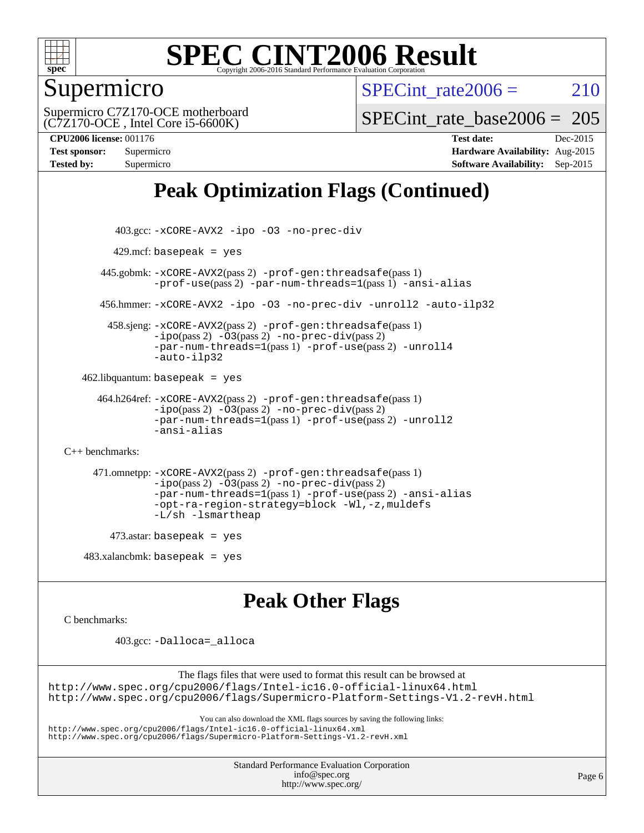

# Supermicro

SPECint rate $2006 = 210$ 

(C7Z170-OCE , Intel Core i5-6600K) Supermicro C7Z170-OCE motherboard

[SPECint\\_rate\\_base2006 =](http://www.spec.org/auto/cpu2006/Docs/result-fields.html#SPECintratebase2006) 205

**[CPU2006 license:](http://www.spec.org/auto/cpu2006/Docs/result-fields.html#CPU2006license)** 001176 **[Test date:](http://www.spec.org/auto/cpu2006/Docs/result-fields.html#Testdate)** Dec-2015 **[Test sponsor:](http://www.spec.org/auto/cpu2006/Docs/result-fields.html#Testsponsor)** Supermicro **[Hardware Availability:](http://www.spec.org/auto/cpu2006/Docs/result-fields.html#HardwareAvailability)** Aug-2015 **[Tested by:](http://www.spec.org/auto/cpu2006/Docs/result-fields.html#Testedby)** Supermicro **[Software Availability:](http://www.spec.org/auto/cpu2006/Docs/result-fields.html#SoftwareAvailability)** Sep-2015

# **[Peak Optimization Flags \(Continued\)](http://www.spec.org/auto/cpu2006/Docs/result-fields.html#PeakOptimizationFlags)**

```
 403.gcc: -xCORE-AVX2 -ipo -O3 -no-prec-div
         429.mcf: basepeak = yes
       445.gobmk: -xCORE-AVX2(pass 2) -prof-gen:threadsafe(pass 1)
                -prof-use(pass 2) -par-num-threads=1(pass 1) -ansi-alias
       456.hmmer: -xCORE-AVX2 -ipo -O3 -no-prec-div -unroll2 -auto-ilp32
         458.sjeng: -xCORE-AVX2(pass 2) -prof-gen:threadsafe(pass 1)
                -i\text{po}(pass 2) -\ddot{o}3(pass 2)-no-prec-div(pass 2)
                -par-num-threads=1(pass 1) -prof-use(pass 2) -unroll4
                -auto-ilp32
   462.libquantum: basepeak = yes
       464.h264ref: -xCORE-AVX2(pass 2) -prof-gen:threadsafe(pass 1)
                -ipo(pass 2) -O3(pass 2) -no-prec-div(pass 2)
                -par-num-threads=1(pass 1) -prof-use(pass 2) -unroll2
                -ansi-alias
C++ benchmarks: 
      471.omnetpp: -xCORE-AVX2(pass 2) -prof-gen:threadsafe(pass 1)
                -ipo(pass 2) -O3(pass 2) -no-prec-div(pass 2)
                -par-num-threads=1(pass 1) -prof-use(pass 2) -ansi-alias
                -opt-ra-region-strategy=block -Wl,-z,muldefs
                -L/sh -lsmartheap
        473.astar: basepeak = yes
   483.xalanchmk: basepeak = yes
```
**[Peak Other Flags](http://www.spec.org/auto/cpu2006/Docs/result-fields.html#PeakOtherFlags)**

[C benchmarks](http://www.spec.org/auto/cpu2006/Docs/result-fields.html#Cbenchmarks):

403.gcc: [-Dalloca=\\_alloca](http://www.spec.org/cpu2006/results/res2016q1/cpu2006-20160106-38551.flags.html#b403.gcc_peakEXTRA_CFLAGS_Dalloca_be3056838c12de2578596ca5467af7f3)

The flags files that were used to format this result can be browsed at <http://www.spec.org/cpu2006/flags/Intel-ic16.0-official-linux64.html> <http://www.spec.org/cpu2006/flags/Supermicro-Platform-Settings-V1.2-revH.html>

You can also download the XML flags sources by saving the following links:

<http://www.spec.org/cpu2006/flags/Intel-ic16.0-official-linux64.xml> <http://www.spec.org/cpu2006/flags/Supermicro-Platform-Settings-V1.2-revH.xml>

> Standard Performance Evaluation Corporation [info@spec.org](mailto:info@spec.org) <http://www.spec.org/>

Page 6